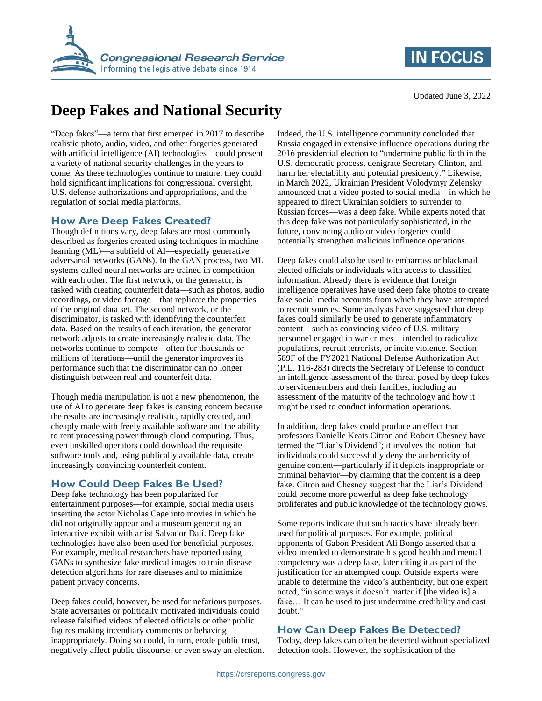



# **Deep Fakes and National Security**

"Deep fakes"—a term that first emerged in 2017 to describe realistic photo, audio, video, and other forgeries generated with artificial intelligence (AI) technologies—could present a variety of national security challenges in the years to come. As these technologies continue to mature, they could hold significant implications for congressional oversight, U.S. defense authorizations and appropriations, and the regulation of social media platforms.

## **How Are Deep Fakes Created?**

Though definitions vary, deep fakes are most commonly described as forgeries created using techniques in machine learning (ML)—a subfield of AI—especially generative adversarial networks (GANs). In the GAN process, two ML systems called neural networks are trained in competition with each other. The first network, or the generator, is tasked with creating counterfeit data—such as photos, audio recordings, or video footage—that replicate the properties of the original data set. The second network, or the discriminator, is tasked with identifying the counterfeit data. Based on the results of each iteration, the generator network adjusts to create increasingly realistic data. The networks continue to compete—often for thousands or millions of iterations—until the generator improves its performance such that the discriminator can no longer distinguish between real and counterfeit data.

Though media manipulation is not a new phenomenon, the use of AI to generate deep fakes is causing concern because the results are increasingly realistic, rapidly created, and cheaply made with freely available software and the ability to rent processing power through cloud computing. Thus, even unskilled operators could download the requisite software tools and, using publically available data, create increasingly convincing counterfeit content.

# **How Could Deep Fakes Be Used?**

Deep fake technology has been popularized for entertainment purposes—for example, social media users inserting the actor Nicholas Cage into movies in which he did not originally appear and a museum generating an interactive exhibit with artist Salvador Dalí. Deep fake technologies have also been used for beneficial purposes. For example, medical researchers have reported using GANs to synthesize fake medical images to train disease detection algorithms for rare diseases and to minimize patient privacy concerns.

Deep fakes could, however, be used for nefarious purposes. State adversaries or politically motivated individuals could release falsified videos of elected officials or other public figures making incendiary comments or behaving inappropriately. Doing so could, in turn, erode public trust, negatively affect public discourse, or even sway an election. Indeed, the U.S. intelligence community concluded that Russia engaged in extensive influence operations during the 2016 presidential election to "undermine public faith in the U.S. democratic process, denigrate Secretary Clinton, and harm her electability and potential presidency." Likewise, in March 2022, Ukrainian President Volodymyr Zelensky announced that a video posted to social media—in which he appeared to direct Ukrainian soldiers to surrender to Russian forces—was a deep fake. While experts noted that this deep fake was not particularly sophisticated, in the future, convincing audio or video forgeries could potentially strengthen malicious influence operations.

Deep fakes could also be used to embarrass or blackmail elected officials or individuals with access to classified information. Already there is evidence that foreign intelligence operatives have used deep fake photos to create fake social media accounts from which they have attempted to recruit sources. Some analysts have suggested that deep fakes could similarly be used to generate inflammatory content—such as convincing video of U.S. military personnel engaged in war crimes—intended to radicalize populations, recruit terrorists, or incite violence. Section 589F of the FY2021 National Defense Authorization Act (P.L. 116-283) directs the Secretary of Defense to conduct an intelligence assessment of the threat posed by deep fakes to servicemembers and their families, including an assessment of the maturity of the technology and how it might be used to conduct information operations.

In addition, deep fakes could produce an effect that professors Danielle Keats Citron and Robert Chesney have termed the "Liar's Dividend"; it involves the notion that individuals could successfully deny the authenticity of genuine content—particularly if it depicts inappropriate or criminal behavior—by claiming that the content is a deep fake. Citron and Chesney suggest that the Liar's Dividend could become more powerful as deep fake technology proliferates and public knowledge of the technology grows.

Some reports indicate that such tactics have already been used for political purposes. For example, political opponents of Gabon President Ali Bongo asserted that a video intended to demonstrate his good health and mental competency was a deep fake, later citing it as part of the justification for an attempted coup. Outside experts were unable to determine the video's authenticity, but one expert noted, "in some ways it doesn't matter if [the video is] a fake… It can be used to just undermine credibility and cast doubt."

## **How Can Deep Fakes Be Detected?**

Today, deep fakes can often be detected without specialized detection tools. However, the sophistication of the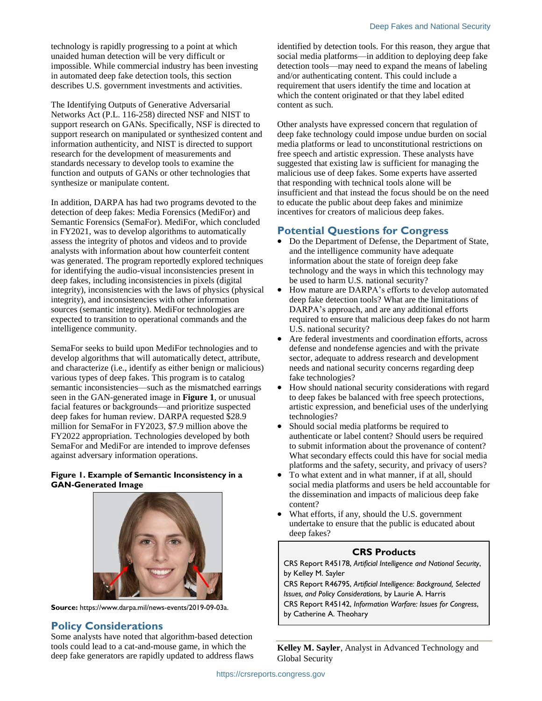technology is rapidly progressing to a point at which unaided human detection will be very difficult or impossible. While commercial industry has been investing in automated deep fake detection tools, this section describes U.S. government investments and activities.

The Identifying Outputs of Generative Adversarial Networks Act (P.L. 116-258) directed NSF and NIST to support research on GANs. Specifically, NSF is directed to support research on manipulated or synthesized content and information authenticity, and NIST is directed to support research for the development of measurements and standards necessary to develop tools to examine the function and outputs of GANs or other technologies that synthesize or manipulate content.

In addition, DARPA has had two programs devoted to the detection of deep fakes: Media Forensics (MediFor) and Semantic Forensics (SemaFor). MediFor, which concluded in FY2021, was to develop algorithms to automatically assess the integrity of photos and videos and to provide analysts with information about how counterfeit content was generated. The program reportedly explored techniques for identifying the audio-visual inconsistencies present in deep fakes, including inconsistencies in pixels (digital integrity), inconsistencies with the laws of physics (physical integrity), and inconsistencies with other information sources (semantic integrity). MediFor technologies are expected to transition to operational commands and the intelligence community.

SemaFor seeks to build upon MediFor technologies and to develop algorithms that will automatically detect, attribute, and characterize (i.e., identify as either benign or malicious) various types of deep fakes. This program is to catalog semantic inconsistencies—such as the mismatched earrings seen in the GAN-generated image in **[Figure 1](#page-1-0)**, or unusual facial features or backgrounds—and prioritize suspected deep fakes for human review. DARPA requested \$28.9 million for SemaFor in FY2023, \$7.9 million above the FY2022 appropriation. Technologies developed by both SemaFor and MediFor are intended to improve defenses against adversary information operations.

#### <span id="page-1-0"></span>**Figure 1. Example of Semantic Inconsistency in a GAN-Generated Image**



**Source:** https://www.darpa.mil/news-events/2019-09-03a.

## **Policy Considerations**

Some analysts have noted that algorithm-based detection tools could lead to a cat-and-mouse game, in which the deep fake generators are rapidly updated to address flaws identified by detection tools. For this reason, they argue that social media platforms—in addition to deploying deep fake detection tools—may need to expand the means of labeling and/or authenticating content. This could include a requirement that users identify the time and location at which the content originated or that they label edited content as such.

Other analysts have expressed concern that regulation of deep fake technology could impose undue burden on social media platforms or lead to unconstitutional restrictions on free speech and artistic expression. These analysts have suggested that existing law is sufficient for managing the malicious use of deep fakes. Some experts have asserted that responding with technical tools alone will be insufficient and that instead the focus should be on the need to educate the public about deep fakes and minimize incentives for creators of malicious deep fakes.

## **Potential Questions for Congress**

- Do the Department of Defense, the Department of State, and the intelligence community have adequate information about the state of foreign deep fake technology and the ways in which this technology may be used to harm U.S. national security?
- How mature are DARPA's efforts to develop automated deep fake detection tools? What are the limitations of DARPA's approach, and are any additional efforts required to ensure that malicious deep fakes do not harm U.S. national security?
- Are federal investments and coordination efforts, across defense and nondefense agencies and with the private sector, adequate to address research and development needs and national security concerns regarding deep fake technologies?
- How should national security considerations with regard to deep fakes be balanced with free speech protections, artistic expression, and beneficial uses of the underlying technologies?
- Should social media platforms be required to authenticate or label content? Should users be required to submit information about the provenance of content? What secondary effects could this have for social media platforms and the safety, security, and privacy of users?
- To what extent and in what manner, if at all, should social media platforms and users be held accountable for the dissemination and impacts of malicious deep fake content?
- What efforts, if any, should the U.S. government undertake to ensure that the public is educated about deep fakes?

#### **CRS Products**

CRS Report R45178, *Artificial Intelligence and National Security*, by Kelley M. Sayler

CRS Report R46795, *Artificial Intelligence: Background, Selected Issues, and Policy Considerations*, by Laurie A. Harris

CRS Report R45142, *Information Warfare: Issues for Congress*, by Catherine A. Theohary

**Kelley M. Sayler**, Analyst in Advanced Technology and Global Security